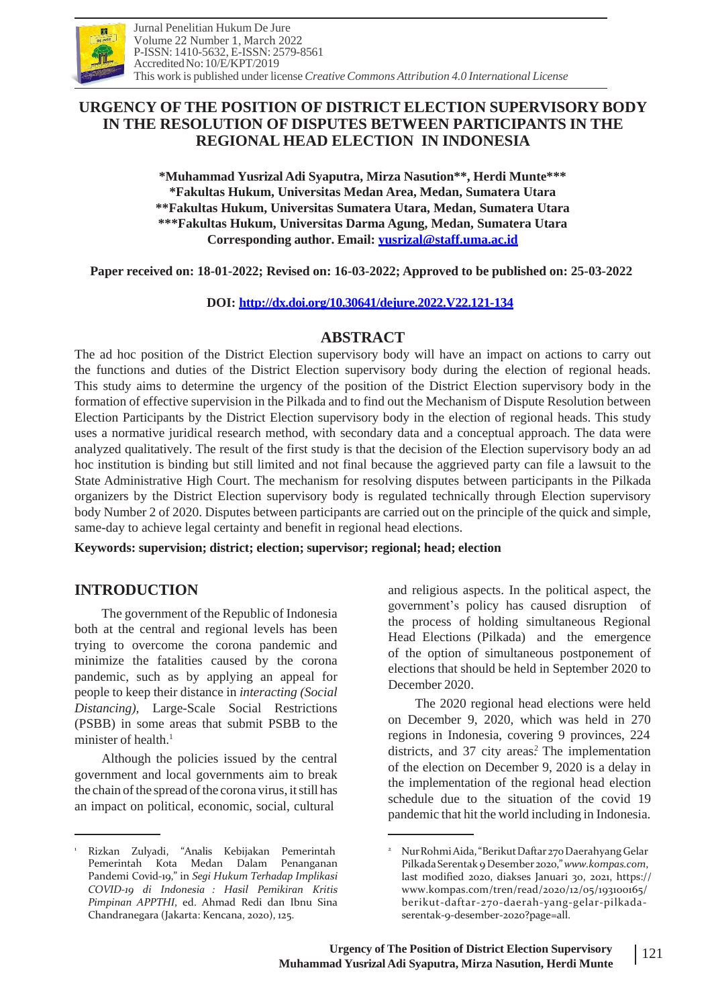

# **URGENCY OF THE POSITION OF DISTRICT ELECTION SUPERVISORY BODY IN THE RESOLUTION OF DISPUTES BETWEEN PARTICIPANTS IN THE REGIONAL HEAD ELECTION IN INDONESIA**

**\*Muhammad Yusrizal Adi Syaputra, Mirza Nasution\*\*, Herdi Munte\*\*\* \*Fakultas Hukum, Universitas Medan Area, Medan, Sumatera Utara \*\*Fakultas Hukum, Universitas Sumatera Utara, Medan, Sumatera Utara \*\*\*Fakultas Hukum, Universitas Darma Agung, Medan, Sumatera Utara Corresponding author. Email: [yusrizal@staff.uma.ac.id](mailto:yusrizal@staff.uma.ac.id)**

**Paper received on: 18-01-2022; Revised on: 16-03-2022; Approved to be published on: 25-03-2022**

**DOI: <http://dx.doi.org/10.30641/dejure.2022.V22.121-134>**

### **ABSTRACT**

The ad hoc position of the District Election supervisory body will have an impact on actions to carry out the functions and duties of the District Election supervisory body during the election of regional heads. This study aims to determine the urgency of the position of the District Election supervisory body in the formation of effective supervision in the Pilkada and to find out the Mechanism of Dispute Resolution between Election Participants by the District Election supervisory body in the election of regional heads. This study uses a normative juridical research method, with secondary data and a conceptual approach. The data were analyzed qualitatively. The result of the first study is that the decision of the Election supervisory body an ad hoc institution is binding but still limited and not final because the aggrieved party can file a lawsuit to the State Administrative High Court. The mechanism for resolving disputes between participants in the Pilkada organizers by the District Election supervisory body is regulated technically through Election supervisory body Number 2 of 2020. Disputes between participants are carried out on the principle of the quick and simple, same-day to achieve legal certainty and benefit in regional head elections.

**Keywords: supervision; district; election; supervisor; regional; head; election**

## **INTRODUCTION**

The government of the Republic of Indonesia both at the central and regional levels has been trying to overcome the corona pandemic and minimize the fatalities caused by the corona pandemic, such as by applying an appeal for people to keep their distance in *interacting (Social Distancing),* Large-Scale Social Restrictions (PSBB) in some areas that submit PSBB to the minister of health.<sup>1</sup>

Although the policies issued by the central government and local governments aim to break the chain of the spread of the corona virus, it still has an impact on political, economic, social, cultural

and religious aspects. In the political aspect, the government's policy has caused disruption of the process of holding simultaneous Regional Head Elections (Pilkada) and the emergence of the option of simultaneous postponement of elections that should be held in September 2020 to December 2020.

The 2020 regional head elections were held on December 9, 2020, which was held in 270 regions in Indonesia, covering 9 provinces, 224 districts, and 37 city areas? The implementation of the election on December 9, 2020 is a delay in the implementation of the regional head election schedule due to the situation of the covid 19 pandemic that hit the world including in Indonesia.

<sup>1</sup> <sup>2</sup> Rizkan Zulyadi, "Analis Kebijakan Pemerintah Pemerintah Kota Medan Dalam Penanganan Pandemi Covid-19," in *Segi Hukum Terhadap Implikasi COVID-19 di Indonesia : Hasil Pemikiran Kritis Pimpinan APPTHI*, ed. Ahmad Redi dan Ibnu Sina Chandranegara (Jakarta: Kencana, 2020), 125.

NurRohmiAida,"BerikutDaftar270Daerahyang Gelar PilkadaSerentak 9 Desember2020,"*[www.kompas.com](http://www.kompas.com/)*, last modified 2020, diakses Januari 30, 2021, https:/[/](http://www.kompas.com/tren/read/2020/12/05/193100165/) [www.kompas.com/tren/read/2020/12/05/193100165/](http://www.kompas.com/tren/read/2020/12/05/193100165/) berikut-daftar-270-daerah-yang-gelar-pilkadaserentak-9-desember-2020?page=all.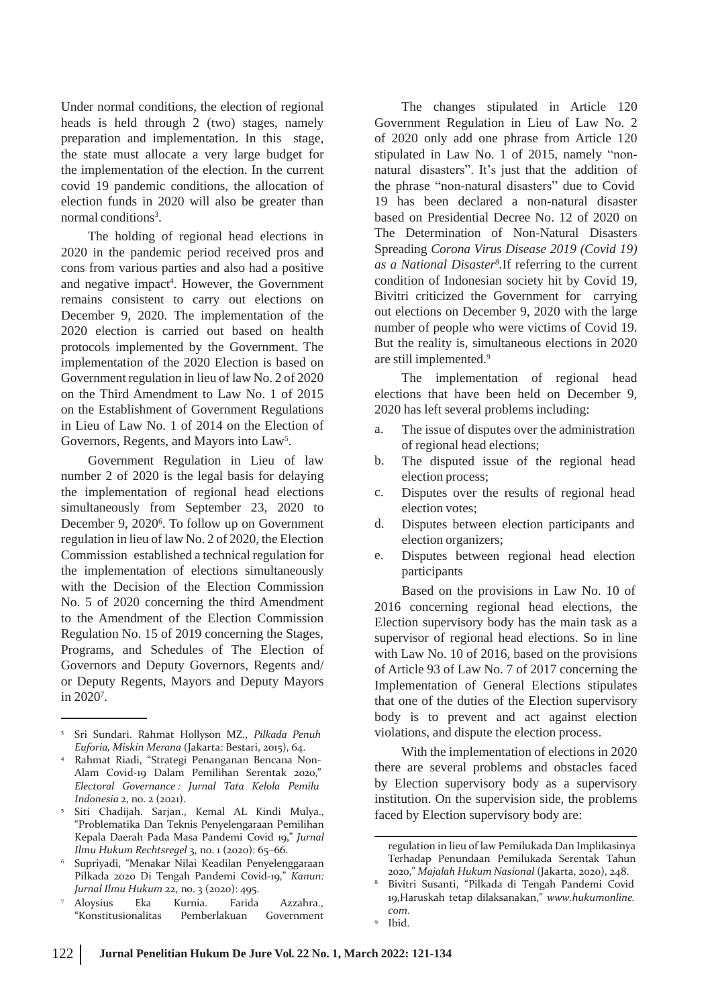Under normal conditions, the election of regional heads is held through 2 (two) stages, namely preparation and implementation. In this stage, the state must allocate a very large budget for the implementation of the election. In the current covid 19 pandemic conditions, the allocation of election funds in 2020 will also be greater than normal conditions<sup>3</sup>.

The holding of regional head elections in 2020 in the pandemic period received pros and cons from various parties and also had a positive and negative impact<sup>4</sup>. However, the Government remains consistent to carry out elections on December 9, 2020. The implementation of the 2020 election is carried out based on health protocols implemented by the Government. The implementation of the 2020 Election is based on Government regulation in lieu of law No. 2 of 2020 on the Third Amendment to Law No. 1 of 2015 on the Establishment of Government Regulations in Lieu of Law No. 1 of 2014 on the Election of Governors, Regents, and Mayors into Law<sup>5</sup>.

Government Regulation in Lieu of law number 2 of 2020 is the legal basis for delaying the implementation of regional head elections simultaneously from September 23, 2020 to December 9, 2020<sup>6</sup>. To follow up on Government regulation in lieu of law No. 2 of 2020, the Election Commission established a technical regulation for the implementation of elections simultaneously with the Decision of the Election Commission No. 5 of 2020 concerning the third Amendment to the Amendment of the Election Commission Regulation No. 15 of 2019 concerning the Stages, Programs, and Schedules of The Election of Governors and Deputy Governors, Regents and/ or Deputy Regents, Mayors and Deputy Mayors in 2020<sup>7</sup> .

<sup>7</sup> Aloysius Eka Kurnia. Farida Azzahra., "Konstitusionalitas Pemberlakuan Government

The changes stipulated in Article 120 Government Regulation in Lieu of Law No. 2 of 2020 only add one phrase from Article 120 stipulated in Law No. 1 of 2015, namely "nonnatural disasters". It's just that the addition of the phrase "non-natural disasters" due to Covid 19 has been declared a non-natural disaster based on Presidential Decree No. 12 of 2020 on The Determination of Non-Natural Disasters Spreading *Corona Virus Disease 2019 (Covid 19) as a National Disaster<sup>8</sup> .*If referring to the current condition of Indonesian society hit by Covid 19, Bivitri criticized the Government for carrying out elections on December 9, 2020 with the large number of people who were victims of Covid 19. But the reality is, simultaneous elections in 2020 are still implemented.<sup>9</sup>

The implementation of regional head elections that have been held on December 9, 2020 has left several problems including:

- a. The issue of disputes over the administration of regional head elections;
- The disputed issue of the regional head election process; b.
- Disputes over the results of regional head election votes; c.
- Disputes between election participants and election organizers; d.
- Disputes between regional head election participants e.

Based on the provisions in Law No. 10 of 2016 concerning regional head elections, the Election supervisory body has the main task as a supervisor of regional head elections. So in line with Law No. 10 of 2016, based on the provisions of Article 93 of Law No. 7 of 2017 concerning the Implementation of General Elections stipulates that one of the duties of the Election supervisory body is to prevent and act against election violations, and dispute the election process.

With the implementation of elections in 2020 there are several problems and obstacles faced by Election supervisory body as a supervisory institution. On the supervision side, the problems faced by Election supervisory body are:

<sup>3</sup> Sri Sundari. Rahmat Hollyson MZ., *Pilkada Penuh Euforia, Miskin Merana* (Jakarta: Bestari, 2015), 64.

Rahmat Riadi, "Strategi Penanganan Bencana Non-Alam Covid-19 Dalam Pemilihan Serentak 2020," *Electoral Governance : Jurnal Tata Kelola Pemilu Indonesia* 2, no. 2 (2021). 4

Siti Chadijah. Sarjan., Kemal AL Kindi Mulya., "Problematika Dan Teknis Penyelengaraan Pemilihan Kepala Daerah Pada Masa Pandemi Covid 19," *Jurnal Ilmu Hukum Rechtsregel* 3, no. 1 (2020): 65–66. 5

Supriyadi, "Menakar Nilai Keadilan Penyelenggaraan Pilkada 2020 Di Tengah Pandemi Covid-19," *Kanun: Jurnal Ilmu Hukum* 22, no. 3 (2020): 495. 6

regulation in lieu of law Pemilukada Dan Implikasinya Terhadap Penundaan Pemilukada Serentak Tahun 2020," *Majalah Hukum Nasional* (Jakarta, 2020), 248.

Bivitri Susanti, "Pilkada di Tengah Pandemi Covid 19,Haruskah tetap dilaksanakan," *www.hukumonline. com*. 8

<sup>&</sup>lt;sup>9</sup> Ibid.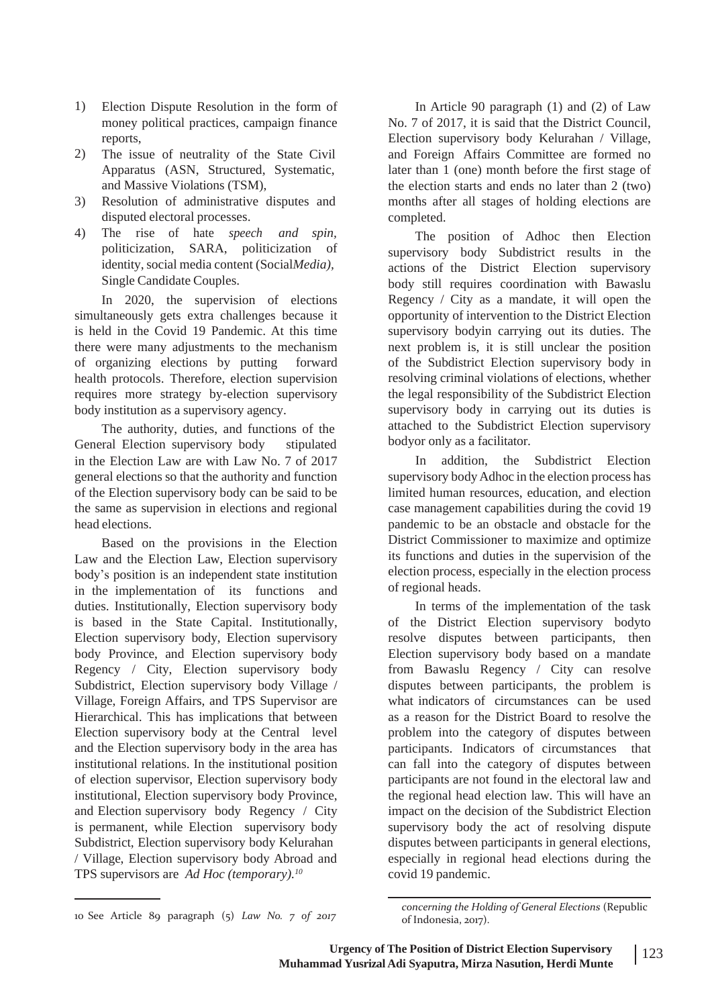- 1) Election Dispute Resolution in the form of money political practices, campaign finance reports,
- 2) The issue of neutrality of the State Civil Apparatus (ASN, Structured, Systematic, and Massive Violations (TSM),
- Resolution of administrative disputes and disputed electoral processes. 3)
- The rise of hate *speech and spin,* 4) politicization, SARA, politicization of identity, social media content (Social*Media)*, Single Candidate Couples.

In 2020, the supervision of elections simultaneously gets extra challenges because it is held in the Covid 19 Pandemic. At this time there were many adjustments to the mechanism of organizing elections by putting forward health protocols. Therefore, election supervision requires more strategy by-election supervisory body institution as a supervisory agency.

The authority, duties, and functions of the General Election supervisory body stipulated in the Election Law are with Law No. 7 of 2017 general elections so that the authority and function of the Election supervisory body can be said to be the same as supervision in elections and regional head elections.

Based on the provisions in the Election Law and the Election Law, Election supervisory body's position is an independent state institution in the implementation of its functions and duties. Institutionally, Election supervisory body is based in the State Capital. Institutionally, Election supervisory body, Election supervisory body Province, and Election supervisory body Regency / City, Election supervisory body Subdistrict, Election supervisory body Village / Village, Foreign Affairs, and TPS Supervisor are Hierarchical. This has implications that between Election supervisory body at the Central level and the Election supervisory body in the area has institutional relations. In the institutional position of election supervisor, Election supervisory body institutional, Election supervisory body Province, and Election supervisory body Regency / City is permanent, while Election supervisory body Subdistrict, Election supervisory body Kelurahan / Village, Election supervisory body Abroad and TPS supervisors are *Ad Hoc (temporary).<sup>10</sup>*

In Article 90 paragraph (1) and (2) of Law No. 7 of 2017, it is said that the District Council, Election supervisory body Kelurahan / Village, and Foreign Affairs Committee are formed no later than 1 (one) month before the first stage of the election starts and ends no later than 2 (two) months after all stages of holding elections are completed.

The position of Adhoc then Election supervisory body Subdistrict results in the actions of the District Election supervisory body still requires coordination with Bawaslu Regency / City as a mandate, it will open the opportunity of intervention to the District Election supervisory bodyin carrying out its duties. The next problem is, it is still unclear the position of the Subdistrict Election supervisory body in resolving criminal violations of elections, whether the legal responsibility of the Subdistrict Election supervisory body in carrying out its duties is attached to the Subdistrict Election supervisory bodyor only as a facilitator.

In addition, the Subdistrict Election supervisory body Adhoc in the election process has limited human resources, education, and election case management capabilities during the covid 19 pandemic to be an obstacle and obstacle for the District Commissioner to maximize and optimize its functions and duties in the supervision of the election process, especially in the election process of regional heads.

In terms of the implementation of the task of the District Election supervisory bodyto resolve disputes between participants, then Election supervisory body based on a mandate from Bawaslu Regency / City can resolve disputes between participants, the problem is what indicators of circumstances can be used as a reason for the District Board to resolve the problem into the category of disputes between participants. Indicators of circumstances that can fall into the category of disputes between participants are not found in the electoral law and the regional head election law. This will have an impact on the decision of the Subdistrict Election supervisory body the act of resolving dispute disputes between participants in general elections, especially in regional head elections during the covid 19 pandemic.

of Indonesia, 2017). 10 See Article 89 paragraph (5) *Law No. 7 of 2017*

*concerning the Holding of General Elections* (Republic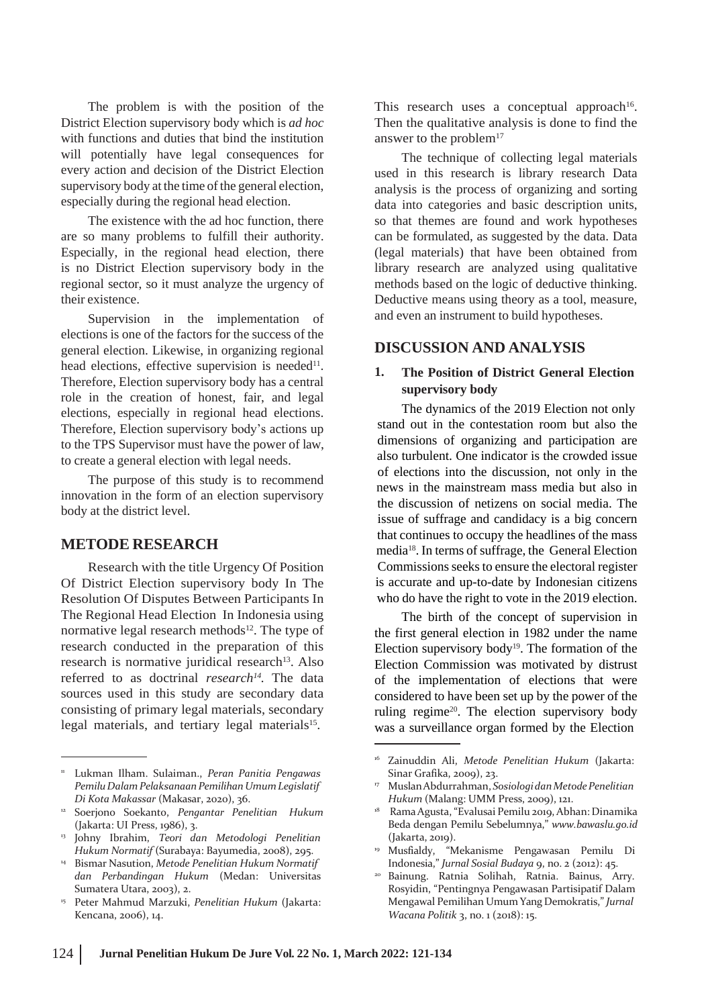The problem is with the position of the District Election supervisory body which is *ad hoc* with functions and duties that bind the institution will potentially have legal consequences for every action and decision of the District Election supervisory body at the time of the general election, especially during the regional head election.

The existence with the ad hoc function, there are so many problems to fulfill their authority. Especially, in the regional head election, there is no District Election supervisory body in the regional sector, so it must analyze the urgency of their existence.

Supervision in the implementation of elections is one of the factors for the success of the general election. Likewise, in organizing regional head elections, effective supervision is needed<sup>11</sup>. Therefore, Election supervisory body has a central role in the creation of honest, fair, and legal elections, especially in regional head elections. Therefore, Election supervisory body's actions up to the TPS Supervisor must have the power of law, to create a general election with legal needs.

The purpose of this study is to recommend innovation in the form of an election supervisory body at the district level.

#### **METODE RESEARCH**

Research with the title Urgency Of Position Of District Election supervisory body In The Resolution Of Disputes Between Participants In The Regional Head Election In Indonesia using normative legal research methods<sup>12</sup>. The type of research conducted in the preparation of this research is normative juridical research<sup>13</sup>. Also referred to as doctrinal *research<sup>14</sup> .* The data sources used in this study are secondary data consisting of primary legal materials, secondary legal materials, and tertiary legal materials<sup>15</sup>.

This research uses a conceptual approach<sup>16</sup>. Then the qualitative analysis is done to find the answer to the problem $17$ 

The technique of collecting legal materials used in this research is library research Data analysis is the process of organizing and sorting data into categories and basic description units, so that themes are found and work hypotheses can be formulated, as suggested by the data. Data (legal materials) that have been obtained from library research are analyzed using qualitative methods based on the logic of deductive thinking. Deductive means using theory as a tool, measure, and even an instrument to build hypotheses.

#### **DISCUSSION AND ANALYSIS**

#### **1. The Position of District General Election supervisory body**

The dynamics of the 2019 Election not only stand out in the contestation room but also the dimensions of organizing and participation are also turbulent. One indicator is the crowded issue of elections into the discussion, not only in the news in the mainstream mass media but also in the discussion of netizens on social media. The issue of suffrage and candidacy is a big concern that continues to occupy the headlines of the mass media<sup>18</sup>. In terms of suffrage, the General Election Commissions seeks to ensure the electoral register is accurate and up-to-date by Indonesian citizens who do have the right to vote in the 2019 election.

The birth of the concept of supervision in the first general election in 1982 under the name Election supervisory body<sup>19</sup>. The formation of the Election Commission was motivated by distrust of the implementation of elections that were considered to have been set up by the power of the ruling regime<sup>20</sup>. The election supervisory body was a surveillance organ formed by the Election

- Musfialdy, "Mekanisme Pengawasan Pemilu Di 19 Indonesia," *Jurnal Sosial Budaya* 9, no. 2 (2012): 45.
- Bainung. Ratnia Solihah, Ratnia. Bainus, Arry. Rosyidin, "Pentingnya Pengawasan Partisipatif Dalam Mengawal Pemilihan Umum Yang Demokratis," *Jurnal Wacana Politik* 3, no. 1 (2018): 15.  $\overline{20}$

<sup>11</sup> Lukman Ilham. Sulaiman., *Peran Panitia Pengawas PemiluDalam PelaksanaanPemilihanUmumLegislatif Di Kota Makassar* (Makasar, 2020), 36.

<sup>&</sup>lt;sup>12</sup> Soerjono Soekanto, *Pengantar Penelitian Hukum* (Jakarta: UI Press, 1986), 3.

<sup>13</sup> Johny Ibrahim, *Teori dan Metodologi Penelitian Hukum Normatif* (Surabaya: Bayumedia, 2008), 295.

Bismar Nasution, *Metode Penelitian Hukum Normatif* 14 *dan Perbandingan Hukum* (Medan: Universitas Sumatera Utara, 2003), 2.

Peter Mahmud Marzuki, *Penelitian Hukum* (Jakarta: 15 Kencana, 2006), 14.

<sup>16</sup> Zainuddin Ali, *Metode Penelitian Hukum* (Jakarta: Sinar Grafika, 2009), 23.

MuslanAbdurrahman, *SosiologidanMetodePenelitian Hukum* (Malang: UMM Press, 2009), 121. 17

<sup>&</sup>lt;sup>18</sup> Rama Agusta, "Evalusai Pemilu 2019, Abhan: Dinamika Beda dengan Pemilu Sebelumnya," *[www.bawaslu.go.id](http://www.bawaslu.go.id/)* (Jakarta, 2019).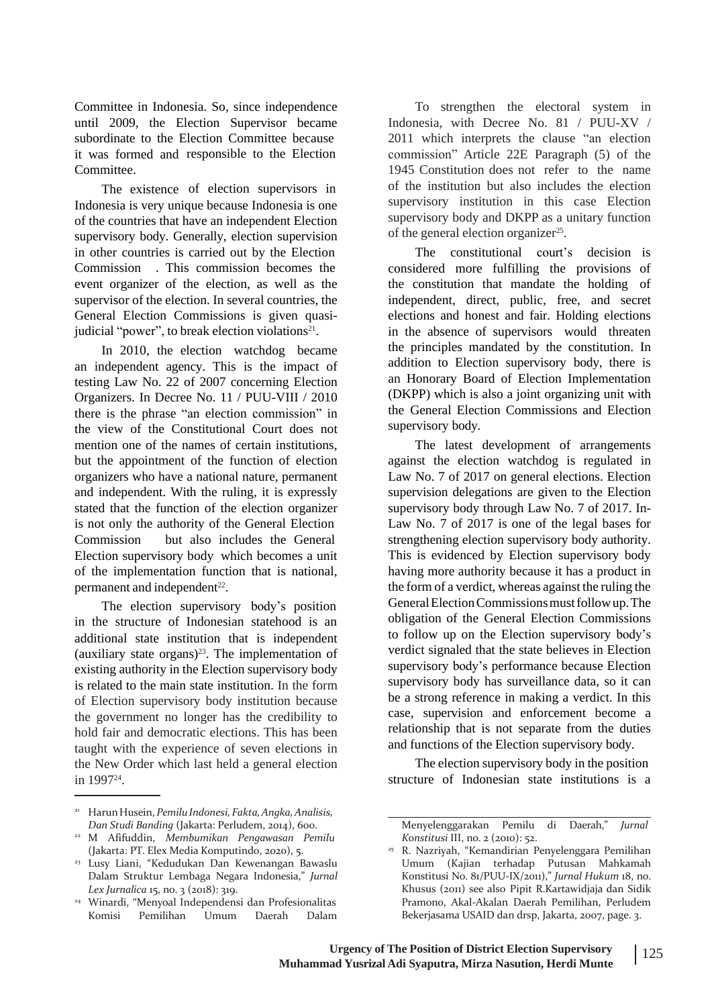Committee in Indonesia. So, since independence until 2009, the Election Supervisor became subordinate to the Election Committee because it was formed and responsible to the Election Committee.

The existence of election supervisors in Indonesia is very unique because Indonesia is one of the countries that have an independent Election supervisory body. Generally, election supervision in other countries is carried out by the Election Commission . This commission becomes the event organizer of the election, as well as the supervisor of the election. In several countries, the General Election Commissions is given quasijudicial "power", to break election violations $2<sup>1</sup>$ .

In 2010, the election watchdog became an independent agency. This is the impact of testing Law No. 22 of 2007 concerning Election Organizers. In Decree No. 11 / PUU-VIII / 2010 there is the phrase "an election commission" in the view of the Constitutional Court does not mention one of the names of certain institutions, but the appointment of the function of election organizers who have a national nature, permanent and independent. With the ruling, it is expressly stated that the function of the election organizer is not only the authority of the General Election Commission but also includes the General Election supervisory body which becomes a unit of the implementation function that is national, permanent and independent $^{22}$ .

The election supervisory body's position in the structure of Indonesian statehood is an additional state institution that is independent (auxiliary state organs) $23$ . The implementation of existing authority in the Election supervisory body is related to the main state institution. In the form of Election supervisory body institution because the government no longer has the credibility to hold fair and democratic elections. This has been taught with the experience of seven elections in the New Order which last held a general election in 1997<sup>24</sup> .

To strengthen the electoral system in Indonesia, with Decree No. 81 / PUU-XV / 2011 which interprets the clause "an election commission" Article 22E Paragraph (5) of the 1945 Constitution does not refer to the name of the institution but also includes the election supervisory institution in this case Election supervisory body and DKPP as a unitary function of the general election organizer<sup>25</sup>.

considered more fulfilling the provisions of the constitution that mandate the holding of The constitutional court's decision is independent, direct, public, free, and secret elections and honest and fair. Holding elections in the absence of supervisors would threaten the principles mandated by the constitution. In addition to Election supervisory body, there is an Honorary Board of Election Implementation (DKPP) which is also a joint organizing unit with the General Election Commissions and Election supervisory body.

The latest development of arrangements against the election watchdog is regulated in Law No. 7 of 2017 on general elections. Election supervision delegations are given to the Election supervisory body through Law No. 7 of 2017. In-Law No. 7 of 2017 is one of the legal bases for strengthening election supervisory body authority. This is evidenced by Election supervisory body having more authority because it has a product in the form of a verdict, whereas against the ruling the General Election Commissions must follow up. The obligation of the General Election Commissions to follow up on the Election supervisory body's verdict signaled that the state believes in Election supervisory body's performance because Election supervisory body has surveillance data, so it can be a strong reference in making a verdict. In this case, supervision and enforcement become a relationship that is not separate from the duties and functions of the Election supervisory body.

The election supervisory body in the position structure of Indonesian state institutions is a

<sup>21</sup> HarunHusein, *PemiluIndonesi,Fakta,Angka,Analisis, Dan Studi Banding* (Jakarta: Perludem, 2014), 600.

M Afifuddin, *Membumikan Pengawasan Pemilu* 22 (Jakarta: PT. Elex Media Komputindo, 2020), 5.

<sup>&</sup>lt;sup>23</sup> Lusy Liani, "Kedudukan Dan Kewenangan Bawaslu Dalam Struktur Lembaga Negara Indonesia," *Jurnal Lex Jurnalica* 15, no. 3 (2018): 319.

Winardi, "Menyoal Independensi dan Profesionalitas 24 Komisi Pemilihan Umum Daerah Dalam

Menyelenggarakan Pemilu di Daerah," *Jurnal Konstitusi* III, no. 2 (2010): 52.

R. Nazriyah, "Kemandirian Penyelenggara Pemilihan 25 Umum (Kajian terhadap Putusan Mahkamah Konstitusi No. 81/PUU-IX/2011)," *Jurnal Hukum* 18, no. Khusus (2011) see also Pipit R.Kartawidjaja dan Sidik Pramono, Akal-Akalan Daerah Pemilihan, Perludem Bekerjasama USAID dan drsp, Jakarta, 2007, page. 3.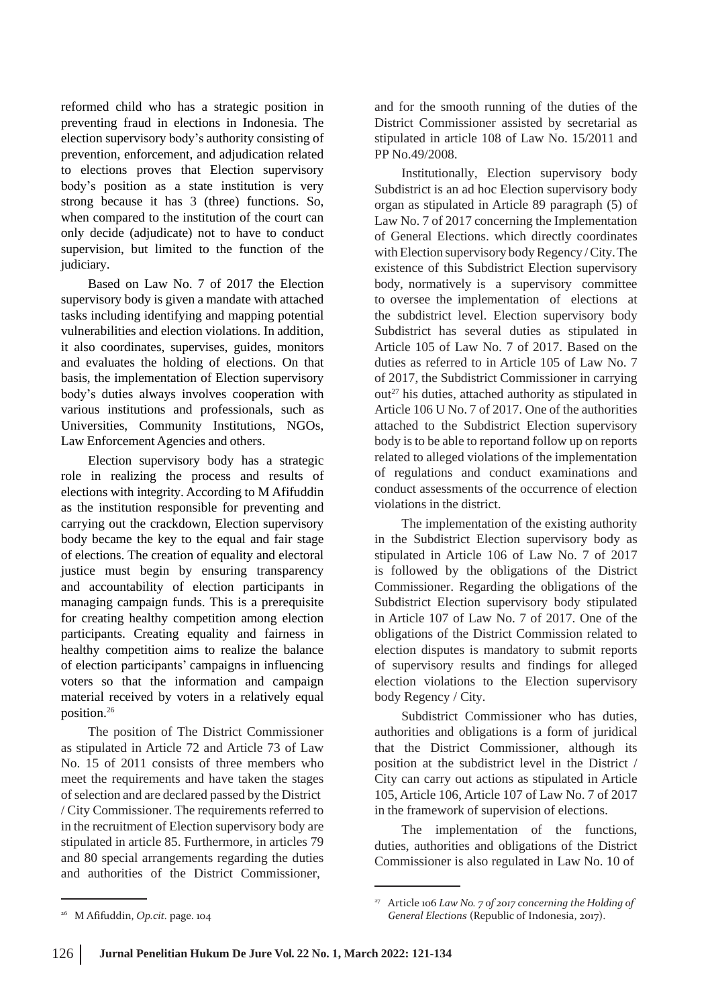reformed child who has a strategic position in preventing fraud in elections in Indonesia. The election supervisory body's authority consisting of prevention, enforcement, and adjudication related to elections proves that Election supervisory body's position as a state institution is very strong because it has 3 (three) functions. So, when compared to the institution of the court can only decide (adjudicate) not to have to conduct supervision, but limited to the function of the judiciary.

Based on Law No. 7 of 2017 the Election supervisory body is given a mandate with attached tasks including identifying and mapping potential vulnerabilities and election violations. In addition, it also coordinates, supervises, guides, monitors and evaluates the holding of elections. On that basis, the implementation of Election supervisory body's duties always involves cooperation with various institutions and professionals, such as Universities, Community Institutions, NGOs, Law Enforcement Agencies and others.

Election supervisory body has a strategic role in realizing the process and results of elections with integrity. According to M Afifuddin as the institution responsible for preventing and carrying out the crackdown, Election supervisory body became the key to the equal and fair stage of elections. The creation of equality and electoral justice must begin by ensuring transparency and accountability of election participants in managing campaign funds. This is a prerequisite for creating healthy competition among election participants. Creating equality and fairness in healthy competition aims to realize the balance of election participants' campaigns in influencing voters so that the information and campaign material received by voters in a relatively equal position.<sup>26</sup>

The position of The District Commissioner as stipulated in Article 72 and Article 73 of Law No. 15 of 2011 consists of three members who meet the requirements and have taken the stages of selection and are declared passed by the District / City Commissioner. The requirements referred to in the recruitment of Election supervisory body are stipulated in article 85. Furthermore, in articles 79 and 80 special arrangements regarding the duties and authorities of the District Commissioner,

and for the smooth running of the duties of the District Commissioner assisted by secretarial as stipulated in article 108 of Law No. 15/2011 and PP No.49/2008.

Institutionally, Election supervisory body Subdistrict is an ad hoc Election supervisory body organ as stipulated in Article 89 paragraph (5) of Law No. 7 of 2017 concerning the Implementation of General Elections. which directly coordinates with Election supervisory body Regency / City. The existence of this Subdistrict Election supervisory body, normatively is a supervisory committee to oversee the implementation of elections at the subdistrict level. Election supervisory body Subdistrict has several duties as stipulated in Article 105 of Law No. 7 of 2017. Based on the duties as referred to in Article 105 of Law No. 7 of 2017, the Subdistrict Commissioner in carrying out<sup>27</sup> his duties, attached authority as stipulated in Article 106 U No. 7 of 2017. One of the authorities attached to the Subdistrict Election supervisory body is to be able to reportand follow up on reports related to alleged violations of the implementation of regulations and conduct examinations and conduct assessments of the occurrence of election violations in the district.

The implementation of the existing authority in the Subdistrict Election supervisory body as stipulated in Article 106 of Law No. 7 of 2017 is followed by the obligations of the District Commissioner. Regarding the obligations of the Subdistrict Election supervisory body stipulated in Article 107 of Law No. 7 of 2017. One of the obligations of the District Commission related to election disputes is mandatory to submit reports of supervisory results and findings for alleged election violations to the Election supervisory body Regency / City.

Subdistrict Commissioner who has duties, authorities and obligations is a form of juridical that the District Commissioner, although its position at the subdistrict level in the District / City can carry out actions as stipulated in Article 105, Article 106, Article 107 of Law No. 7 of 2017 in the framework of supervision of elections.

The implementation of the functions, duties, authorities and obligations of the District Commissioner is also regulated in Law No. 10 of

<sup>27</sup> Article 106 *Law No. 7 of 2017 concerning the Holding of* <sup>26</sup> M Afifuddin, *Op.cit.* page. 104 **General Elections** (Republic of Indonesia, 2017).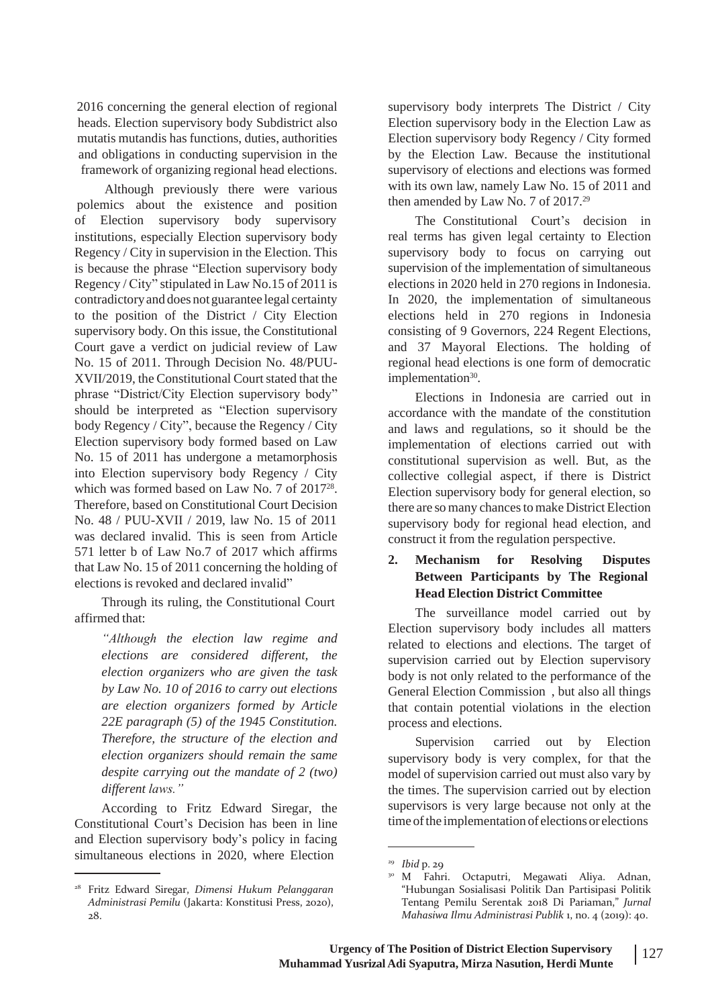2016 concerning the general election of regional heads. Election supervisory body Subdistrict also mutatis mutandis has functions, duties, authorities and obligations in conducting supervision in the framework of organizing regional head elections.

Although previously there were various polemics about the existence and position of Election supervisory body supervisory institutions, especially Election supervisory body Regency / City in supervision in the Election. This is because the phrase "Election supervisory body Regency / City" stipulated in Law No.15 of 2011 is contradictoryand does not guarantee legal certainty to the position of the District / City Election supervisory body. On this issue, the Constitutional Court gave a verdict on judicial review of Law No. 15 of 2011. Through Decision No. 48/PUU-XVII/2019, the Constitutional Court stated that the phrase "District/City Election supervisory body" should be interpreted as "Election supervisory body Regency / City", because the Regency / City Election supervisory body formed based on Law No. 15 of 2011 has undergone a metamorphosis into Election supervisory body Regency / City which was formed based on Law No. 7 of 2017<sup>28</sup> . Therefore, based on Constitutional Court Decision No. 48 / PUU-XVII / 2019, law No. 15 of 2011 was declared invalid. This is seen from Article 571 letter b of Law No.7 of 2017 which affirms that Law No. 15 of 2011 concerning the holding of elections is revoked and declared invalid"

Through its ruling, the Constitutional Court affirmed that:

> *"Although the election law regime and elections are considered different, the election organizers who are given the task by Law No. 10 of 2016 to carry out elections are election organizers formed by Article 22E paragraph (5) of the 1945 Constitution. Therefore, the structure of the election and election organizers should remain the same despite carrying out the mandate of 2 (two) different laws."*

According to Fritz Edward Siregar, the Constitutional Court's Decision has been in line and Election supervisory body's policy in facing simultaneous elections in 2020, where Election

supervisory body interprets The District / City Election supervisory body in the Election Law as Election supervisory body Regency / City formed by the Election Law. Because the institutional supervisory of elections and elections was formed with its own law, namely Law No. 15 of 2011 and then amended by Law No. 7 of 2017.<sup>29</sup>

The Constitutional Court's decision in real terms has given legal certainty to Election supervisory body to focus on carrying out supervision of the implementation of simultaneous elections in 2020 held in 270 regions in Indonesia. In 2020, the implementation of simultaneous elections held in 270 regions in Indonesia consisting of 9 Governors, 224 Regent Elections, and 37 Mayoral Elections. The holding of regional head elections is one form of democratic implementation<sup>30</sup>.

Elections in Indonesia are carried out in accordance with the mandate of the constitution and laws and regulations, so it should be the implementation of elections carried out with constitutional supervision as well. But, as the collective collegial aspect, if there is District Election supervisory body for general election, so there are so many chances to make District Election supervisory body for regional head election, and construct it from the regulation perspective.

#### **2. Mechanism for Resolving Disputes Between Participants by The Regional Head Election District Committee**

The surveillance model carried out by Election supervisory body includes all matters related to elections and elections. The target of supervision carried out by Election supervisory body is not only related to the performance of the General Election Commission , but also all things that contain potential violations in the election process and elections.

Supervision carried out by Election supervisory body is very complex, for that the model of supervision carried out must also vary by the times. The supervision carried out by election supervisors is very large because not only at the time of the implementation of elections or elections

<sup>28</sup> Fritz Edward Siregar, *Dimensi Hukum Pelanggaran Administrasi Pemilu* (Jakarta: Konstitusi Press, 2020), 28.

<sup>29</sup> *Ibid* p. 29

<sup>30</sup> M Fahri. Octaputri, Megawati Aliya. Adnan, "Hubungan Sosialisasi Politik Dan Partisipasi Politik Tentang Pemilu Serentak 2018 Di Pariaman," *Jurnal Mahasiwa Ilmu Administrasi Publik* 1, no. 4 (2019): 40.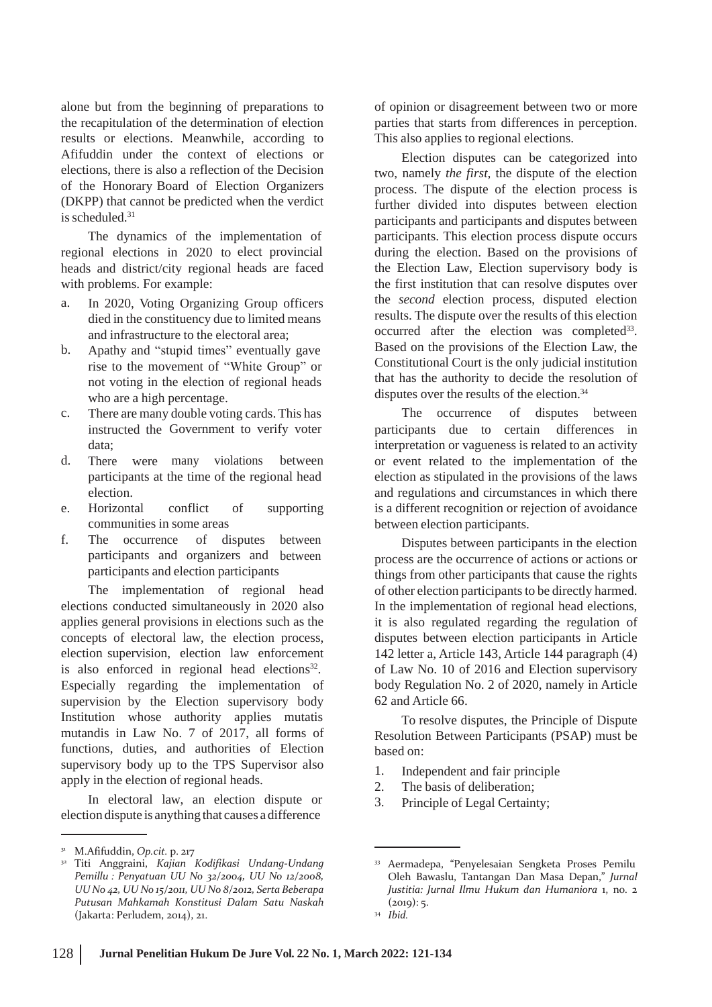alone but from the beginning of preparations to the recapitulation of the determination of election results or elections. Meanwhile, according to Afifuddin under the context of elections or elections, there is also a reflection of the Decision of the Honorary Board of Election Organizers (DKPP) that cannot be predicted when the verdict is scheduled.<sup>31</sup>

The dynamics of the implementation of regional elections in 2020 to elect provincial heads and district/city regional heads are faced with problems. For example:

- a. In 2020, Voting Organizing Group officers died in the constituency due to limited means and infrastructure to the electoral area;
- Apathy and "stupid times" eventually gave rise to the movement of "White Group" or not voting in the election of regional heads who are a high percentage. b.
- There are many double voting cards. This has c. There are many double voting cards. This has The occurrence of disputes between instructed the Government to verify voter data;
- d. There were many violations between participants at the time of the regional head election.
- e. Horizontal conflict of supporting communities in some areas
- f. The occurrence of disputes between participants and organizers and between participants and election participants

The implementation of regional head elections conducted simultaneously in 2020 also applies general provisions in elections such as the concepts of electoral law, the election process, election supervision, election law enforcement is also enforced in regional head elections<sup>32</sup>. Especially regarding the implementation of supervision by the Election supervisory body Institution whose authority applies mutatis mutandis in Law No. 7 of 2017, all forms of functions, duties, and authorities of Election supervisory body up to the TPS Supervisor also apply in the election of regional heads.

In electoral law, an election dispute or election dispute is anything that causes a difference

of opinion or disagreement between two or more parties that starts from differences in perception. This also applies to regional elections.

Election disputes can be categorized into two, namely *the first,* the dispute of the election process. The dispute of the election process is further divided into disputes between election participants and participants and disputes between participants. This election process dispute occurs during the election. Based on the provisions of the Election Law, Election supervisory body is the first institution that can resolve disputes over the *second* election process, disputed election results. The dispute over the results of this election occurred after the election was completed<sup>33</sup>. Based on the provisions of the Election Law, the Constitutional Court is the only judicial institution that has the authority to decide the resolution of disputes over the results of the election.<sup>34</sup>

participants due to certain differences in interpretation or vagueness is related to an activity or event related to the implementation of the election as stipulated in the provisions of the laws and regulations and circumstances in which there is a different recognition or rejection of avoidance between election participants.

Disputes between participants in the election process are the occurrence of actions or actions or things from other participants that cause the rights of other election participants to be directly harmed. In the implementation of regional head elections, it is also regulated regarding the regulation of disputes between election participants in Article 142 letter a, Article 143, Article 144 paragraph (4) of Law No. 10 of 2016 and Election supervisory body Regulation No. 2 of 2020, namely in Article 62 and Article 66.

To resolve disputes, the Principle of Dispute Resolution Between Participants (PSAP) must be based on:

- 1. Independent and fair principle
- 2. The basis of deliberation;
- 3. Principle of Legal Certainty;

<sup>31</sup> M.Afifuddin, *Op.cit.* p. 217

<sup>32</sup> Titi Anggraini, *Kajian Kodifikasi Undang-Undang Pemillu : Penyatuan UU No 32/2004, UU No 12/2008, UU No 42, UU No 15/2011, UU No 8/2012, Serta Beberapa Putusan Mahkamah Konstitusi Dalam Satu Naskah* (Jakarta: Perludem, 2014), 21.

<sup>33</sup> Aermadepa, "Penyelesaian Sengketa Proses Pemilu Oleh Bawaslu, Tantangan Dan Masa Depan," *Jurnal Justitia: Jurnal Ilmu Hukum dan Humaniora* 1, no. 2  $(2019):$  5. *Ibid.* <sup>34</sup>

<sup>128</sup> **Jurnal Penelitian Hukum De Jure Vol. 22 No. 1, March 2022: 121-134**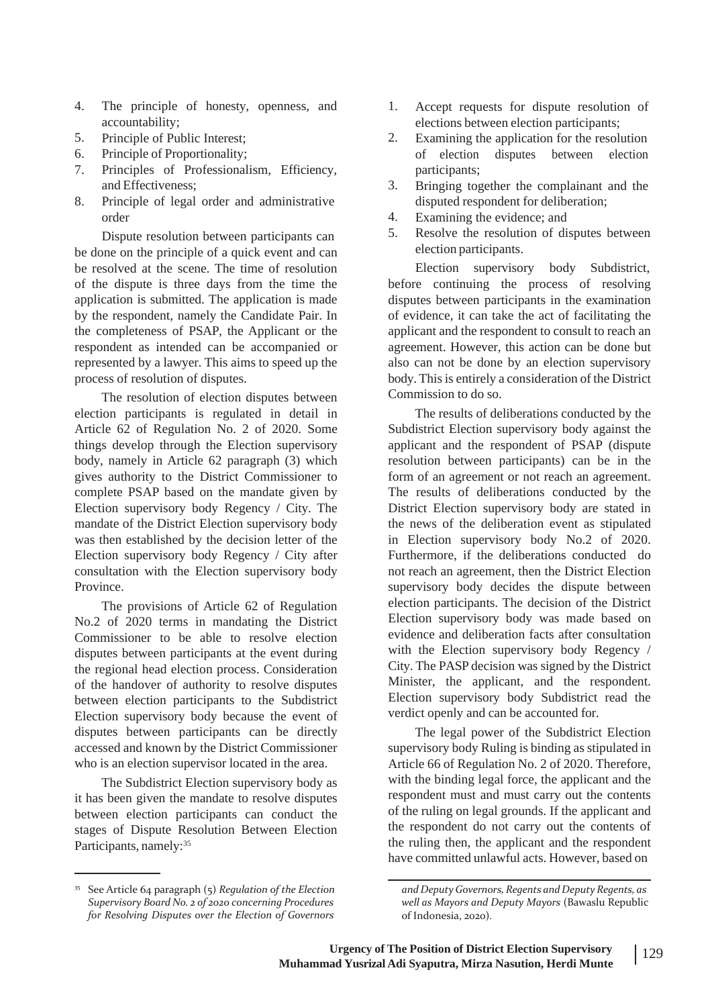- 4. The principle of honesty, accountability;
- Principle of Public Interest; 5.
- Principle of Proportionality; 6.
- 7. Principles of Professionalism, Efficiency, and Effectiveness;
- 8. Principle of legal order and administrative order

Dispute resolution between participants can be done on the principle of a quick event and can be resolved at the scene. The time of resolution of the dispute is three days from the time the application is submitted. The application is made by the respondent, namely the Candidate Pair. In the completeness of PSAP, the Applicant or the respondent as intended can be accompanied or represented by a lawyer. This aims to speed up the process of resolution of disputes.

The resolution of election disputes between election participants is regulated in detail in Article 62 of Regulation No. 2 of 2020. Some things develop through the Election supervisory body, namely in Article 62 paragraph (3) which gives authority to the District Commissioner to complete PSAP based on the mandate given by Election supervisory body Regency / City. The mandate of the District Election supervisory body was then established by the decision letter of the Election supervisory body Regency / City after consultation with the Election supervisory body Province.

The provisions of Article 62 of Regulation No.2 of 2020 terms in mandating the District Commissioner to be able to resolve election disputes between participants at the event during the regional head election process. Consideration of the handover of authority to resolve disputes between election participants to the Subdistrict Election supervisory body because the event of disputes between participants can be directly accessed and known by the District Commissioner who is an election supervisor located in the area.

The Subdistrict Election supervisory body as it has been given the mandate to resolve disputes between election participants can conduct the stages of Dispute Resolution Between Election Participants, namely:<sup>35</sup>

- 1. Accept requests for dispute resolution of elections between election participants;
- Examining the application for the resolution of election disputes between election participants; 2.
- Bringing together the complainant and the disputed respondent for deliberation; 3.
- Examining the evidence; and 4.
- Resolve the resolution of disputes between election participants. 5.

Election supervisory body Subdistrict, before continuing the process of resolving disputes between participants in the examination of evidence, it can take the act of facilitating the applicant and the respondent to consult to reach an agreement. However, this action can be done but also can not be done by an election supervisory body. This is entirely a consideration of the District Commission to do so.

The results of deliberations conducted by the Subdistrict Election supervisory body against the applicant and the respondent of PSAP (dispute resolution between participants) can be in the form of an agreement or not reach an agreement. The results of deliberations conducted by the District Election supervisory body are stated in the news of the deliberation event as stipulated in Election supervisory body No.2 of 2020. Furthermore, if the deliberations conducted do not reach an agreement, then the District Election supervisory body decides the dispute between election participants. The decision of the District Election supervisory body was made based on evidence and deliberation facts after consultation with the Election supervisory body Regency / City. The PASP decision was signed by the District Minister, the applicant, and the respondent. Election supervisory body Subdistrict read the verdict openly and can be accounted for.

The legal power of the Subdistrict Election supervisory body Ruling is binding as stipulated in Article 66 of Regulation No. 2 of 2020. Therefore, with the binding legal force, the applicant and the respondent must and must carry out the contents of the ruling on legal grounds. If the applicant and the respondent do not carry out the contents of the ruling then, the applicant and the respondent have committed unlawful acts. However, based on

<sup>35</sup> See Article 64 paragraph (5) *Regulation of the Election Supervisory Board No. 2 of 2020 concerning Procedures for Resolving Disputes over the Election of Governors*

*and DeputyGovernors,Regents and Deputy Regents, as well as Mayors and Deputy Mayors* (Bawaslu Republic of Indonesia, 2020).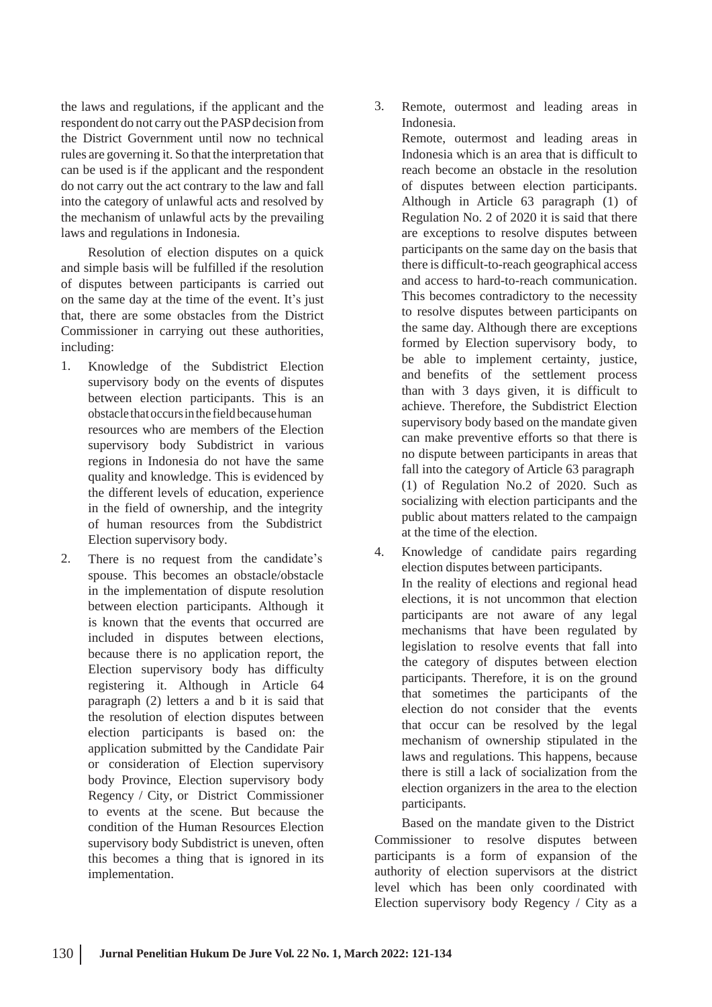the laws and regulations, if the applicant and the respondent do not carry out the PASPdecision from the District Government until now no technical rules are governing it. So that the interpretation that can be used is if the applicant and the respondent do not carry out the act contrary to the law and fall into the category of unlawful acts and resolved by the mechanism of unlawful acts by the prevailing laws and regulations in Indonesia.

Resolution of election disputes on a quick and simple basis will be fulfilled if the resolution of disputes between participants is carried out on the same day at the time of the event. It's just that, there are some obstacles from the District Commissioner in carrying out these authorities, including:

- 1. Knowledge of the Subdistrict Election supervisory body on the events of disputes between election participants. This is an obstacle thatoccursinthe field becausehuman resources who are members of the Election supervisory body Subdistrict in various regions in Indonesia do not have the same quality and knowledge. This is evidenced by the different levels of education, experience in the field of ownership, and the integrity of human resources from the Subdistrict Election supervisory body.
- 2. There is no request from the candidate's  $\frac{4}{3}$ . spouse. This becomes an obstacle/obstacle in the implementation of dispute resolution between election participants. Although it is known that the events that occurred are included in disputes between elections, because there is no application report, the Election supervisory body has difficulty registering it. Although in Article 64 paragraph (2) letters a and b it is said that the resolution of election disputes between election participants is based on: the application submitted by the Candidate Pair or consideration of Election supervisory body Province, Election supervisory body Regency / City, or District Commissioner to events at the scene. But because the condition of the Human Resources Election supervisory body Subdistrict is uneven, often this becomes a thing that is ignored in its implementation.

3. Remote, outermost and leading areas in Indonesia.

Remote, outermost and leading areas in Indonesia which is an area that is difficult to reach become an obstacle in the resolution of disputes between election participants. Although in Article 63 paragraph (1) of Regulation No. 2 of 2020 it is said that there are exceptions to resolve disputes between participants on the same day on the basis that there is difficult-to-reach geographical access and access to hard-to-reach communication. This becomes contradictory to the necessity to resolve disputes between participants on the same day. Although there are exceptions formed by Election supervisory body, to be able to implement certainty, justice, and benefits of the settlement process than with 3 days given, it is difficult to achieve. Therefore, the Subdistrict Election supervisory body based on the mandate given can make preventive efforts so that there is no dispute between participants in areas that fall into the category of Article 63 paragraph (1) of Regulation No.2 of 2020. Such as socializing with election participants and the public about matters related to the campaign at the time of the election.

Knowledge of candidate pairs regarding election disputes between participants. In the reality of elections and regional head elections, it is not uncommon that election participants are not aware of any legal mechanisms that have been regulated by legislation to resolve events that fall into the category of disputes between election participants. Therefore, it is on the ground that sometimes the participants of the election do not consider that the events that occur can be resolved by the legal mechanism of ownership stipulated in the laws and regulations. This happens, because there is still a lack of socialization from the election organizers in the area to the election participants.

Based on the mandate given to the District Commissioner to resolve disputes between participants is a form of expansion of the authority of election supervisors at the district level which has been only coordinated with Election supervisory body Regency / City as a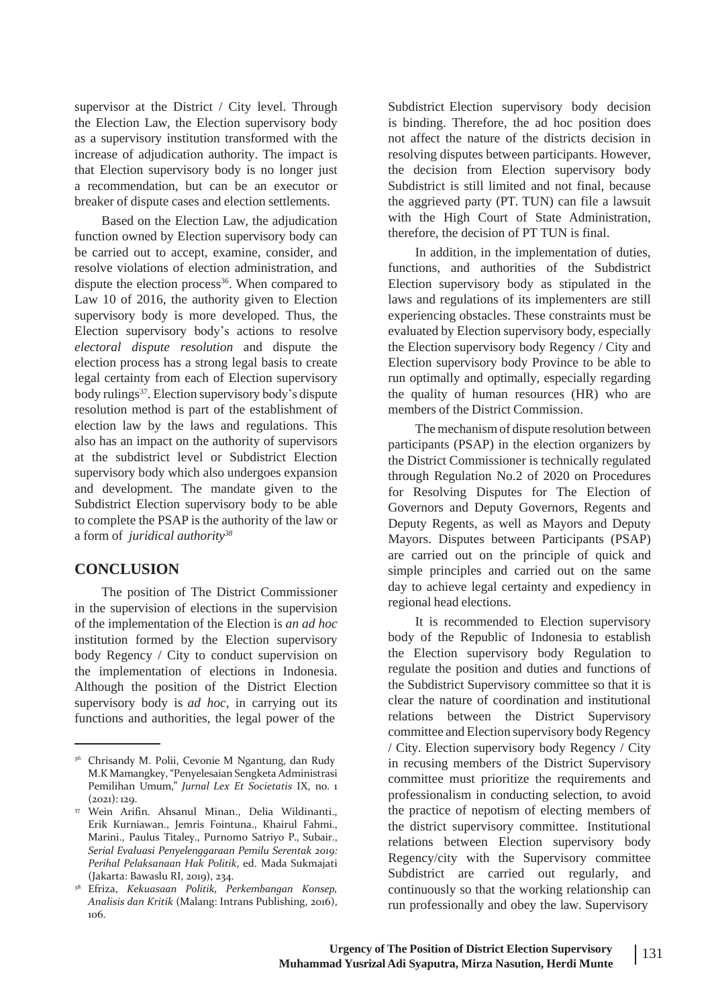supervisor at the District / City level. Through the Election Law, the Election supervisory body as a supervisory institution transformed with the increase of adjudication authority. The impact is that Election supervisory body is no longer just a recommendation, but can be an executor or breaker of dispute cases and election settlements.

Based on the Election Law, the adjudication function owned by Election supervisory body can be carried out to accept, examine, consider, and resolve violations of election administration, and dispute the election process<sup>36</sup>. When compared to Law 10 of 2016, the authority given to Election supervisory body is more developed. Thus, the Election supervisory body's actions to resolve *electoral dispute resolution* and dispute the election process has a strong legal basis to create legal certainty from each of Election supervisory body rulings<sup>37</sup>. Election supervisory body's dispute resolution method is part of the establishment of election law by the laws and regulations. This also has an impact on the authority of supervisors at the subdistrict level or Subdistrict Election supervisory body which also undergoes expansion and development. The mandate given to the Subdistrict Election supervisory body to be able to complete the PSAP is the authority of the law or a form of *juridical authority<sup>38</sup>*

### **CONCLUSION**

The position of The District Commissioner in the supervision of elections in the supervision of the implementation of the Election is *an ad hoc* institution formed by the Election supervisory body Regency / City to conduct supervision on the implementation of elections in Indonesia. Although the position of the District Election supervisory body is *ad hoc,* in carrying out its functions and authorities, the legal power of the

Subdistrict Election supervisory body decision is binding. Therefore, the ad hoc position does not affect the nature of the districts decision in resolving disputes between participants. However, the decision from Election supervisory body Subdistrict is still limited and not final, because the aggrieved party (PT. TUN) can file a lawsuit with the High Court of State Administration, therefore, the decision of PT TUN is final.

In addition, in the implementation of duties, functions, and authorities of the Subdistrict Election supervisory body as stipulated in the laws and regulations of its implementers are still experiencing obstacles. These constraints must be evaluated by Election supervisory body, especially the Election supervisory body Regency / City and Election supervisory body Province to be able to run optimally and optimally, especially regarding the quality of human resources (HR) who are members of the District Commission.

The mechanism of dispute resolution between participants (PSAP) in the election organizers by the District Commissioner is technically regulated through Regulation No.2 of 2020 on Procedures for Resolving Disputes for The Election of Governors and Deputy Governors, Regents and Deputy Regents, as well as Mayors and Deputy Mayors. Disputes between Participants (PSAP) are carried out on the principle of quick and simple principles and carried out on the same day to achieve legal certainty and expediency in regional head elections.

It is recommended to Election supervisory body of the Republic of Indonesia to establish the Election supervisory body Regulation to regulate the position and duties and functions of the Subdistrict Supervisory committee so that it is clear the nature of coordination and institutional relations between the District Supervisory committee and Election supervisory body Regency / City. Election supervisory body Regency / City in recusing members of the District Supervisory committee must prioritize the requirements and professionalism in conducting selection, to avoid the practice of nepotism of electing members of the district supervisory committee. Institutional relations between Election supervisory body Regency/city with the Supervisory committee Subdistrict are carried out regularly, and continuously so that the working relationship can run professionally and obey the law. Supervisory

<sup>&</sup>lt;sup>36</sup> Chrisandy M. Polii, Cevonie M Ngantung, dan Rudy M.K Mamangkey, "Penyelesaian Sengketa Administrasi Pemilihan Umum," *Jurnal Lex Et Societatis* IX, no. 1  $(2021): 129.$ 

Wein Arifin. Ahsanul Minan., Delia Wildinanti., 37 Erik Kurniawan., Jemris Fointuna., Khairul Fahmi., Marini., Paulus Titaley., Purnomo Satriyo P., Subair., *Serial Evaluasi Penyelenggaraan Pemilu Serentak 2019: Perihal Pelaksanaan Hak Politik*, ed. Mada Sukmajati (Jakarta: Bawaslu RI, 2019), 234.

Efriza, *Kekuasaan Politik, Perkembangan Konsep,* 38 *Analisis dan Kritik* (Malang: Intrans Publishing, 2016), 106.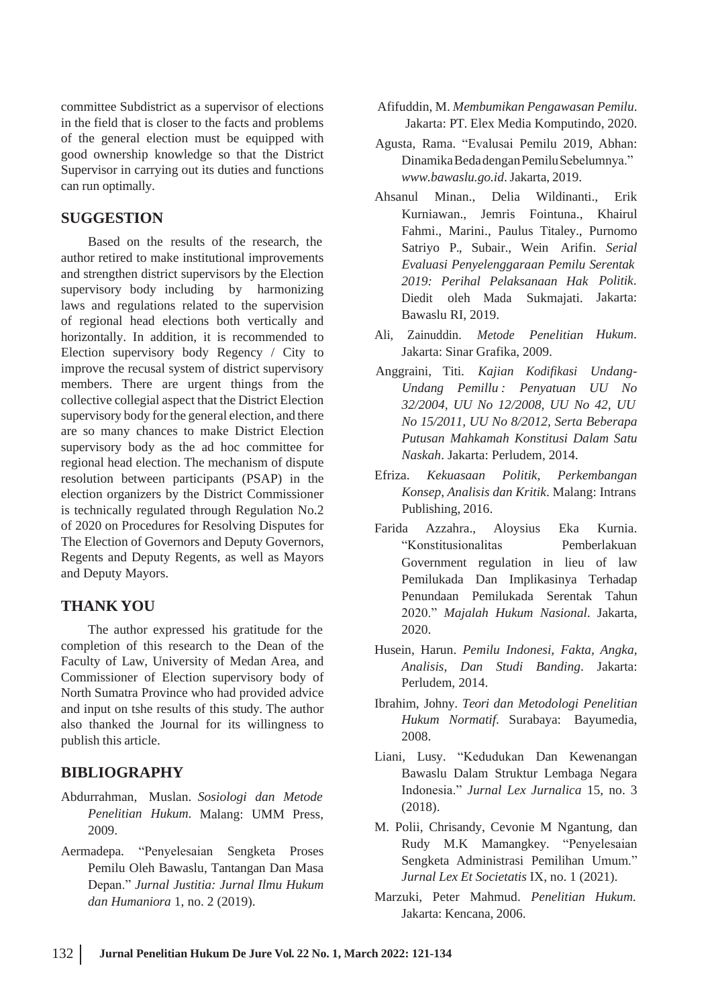committee Subdistrict as a supervisor of elections in the field that is closer to the facts and problems of the general election must be equipped with good ownership knowledge so that the District Supervisor in carrying out its duties and functions can run optimally.

#### **SUGGESTION**

Based on the results of the research, the author retired to make institutional improvements and strengthen district supervisors by the Election supervisory body including by harmonizing laws and regulations related to the supervision of regional head elections both vertically and horizontally. In addition, it is recommended to Election supervisory body Regency / City to improve the recusal system of district supervisory members. There are urgent things from the collective collegial aspect that the District Election supervisory body for the general election, and there are so many chances to make District Election supervisory body as the ad hoc committee for regional head election. The mechanism of dispute resolution between participants (PSAP) in the election organizers by the District Commissioner is technically regulated through Regulation No.2 of 2020 on Procedures for Resolving Disputes for The Election of Governors and Deputy Governors, Regents and Deputy Regents, as well as Mayors and Deputy Mayors.

#### **THANK YOU**

The author expressed his gratitude for the completion of this research to the Dean of the Faculty of Law, University of Medan Area, and Commissioner of Election supervisory body of North Sumatra Province who had provided advice and input on tshe results of this study. The author also thanked the Journal for its willingness to publish this article.

#### **BIBLIOGRAPHY**

- Abdurrahman, Muslan. *Sosiologi dan Metode Penelitian Hukum*. Malang: UMM Press, 2009.
- Aermadepa. "Penyelesaian Sengketa Proses Pemilu Oleh Bawaslu, Tantangan Dan Masa Depan." *Jurnal Justitia: Jurnal Ilmu Hukum dan Humaniora* 1, no. 2 (2019).
- Afifuddin, M. *Membumikan Pengawasan Pemilu*. Jakarta: PT. Elex Media Komputindo, 2020.
- Agusta, Rama. "Evalusai Pemilu 2019, Abhan: DinamikaBedadenganPemiluSebelumnya." *[www.bawaslu.go.id](http://www.bawaslu.go.id/)*.Jakarta, 2019.
- Ahsanul Minan., Delia Wildinanti., Erik Kurniawan., Jemris Fointuna., Khairul Fahmi., Marini., Paulus Titaley., Purnomo Satriyo P., Subair., Wein Arifin. *Serial Evaluasi Penyelenggaraan Pemilu Serentak 2019: Perihal Pelaksanaan Hak Politik*. Diedit oleh Mada Sukmajati. Jakarta: Bawaslu RI, 2019.
- Ali, Zainuddin. *Metode Penelitian Hukum*. Jakarta: Sinar Grafika, 2009.
- Anggraini, Titi. *Kajian Kodifikasi Undang-Undang Pemillu : Penyatuan UU No 32/2004, UU No 12/2008, UU No 42, UU No 15/2011, UU No 8/2012, Serta Beberapa Putusan Mahkamah Konstitusi Dalam Satu Naskah*. Jakarta: Perludem, 2014.
- Efriza. *Kekuasaan Politik, Perkembangan Konsep, Analisis dan Kritik*. Malang: Intrans Publishing, 2016.
- Farida Azzahra., Aloysius Eka Kurnia. "Konstitusionalitas Pemberlakuan Government regulation in lieu of law Pemilukada Dan Implikasinya Terhadap Penundaan Pemilukada Serentak Tahun 2020." *Majalah Hukum Nasional*. Jakarta, 2020.
- Husein, Harun. *Pemilu Indonesi, Fakta, Angka, Analisis, Dan Studi Banding*. Jakarta: Perludem, 2014.
- Ibrahim, Johny. *Teori dan Metodologi Penelitian Hukum Normatif*. Surabaya: Bayumedia, 2008.
- Liani, Lusy. "Kedudukan Dan Kewenangan Bawaslu Dalam Struktur Lembaga Negara Indonesia." *Jurnal Lex Jurnalica* 15, no. 3 (2018).
- M. Polii, Chrisandy, Cevonie M Ngantung, dan Rudy M.K Mamangkey. "Penyelesaian Sengketa Administrasi Pemilihan Umum." *Jurnal Lex Et Societatis* IX, no. 1 (2021).
- Marzuki, Peter Mahmud. *Penelitian Hukum*. Jakarta: Kencana, 2006.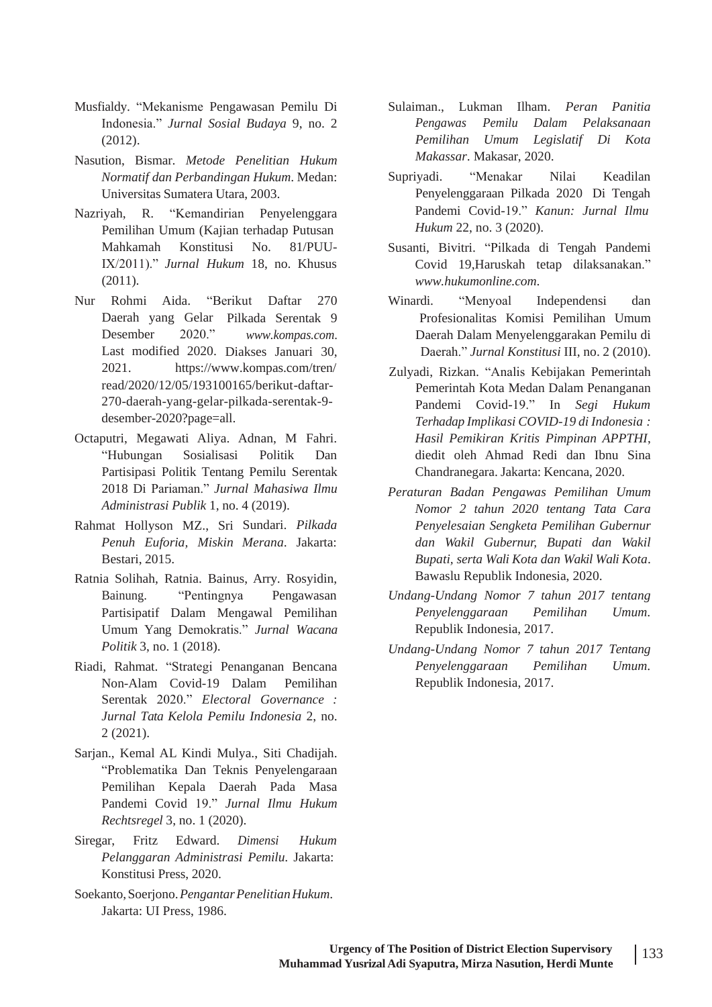- Musfialdy. "Mekanisme Pengawasan Pemilu Di Indonesia." *Jurnal Sosial Budaya* 9, no. 2 (2012).
- Nasution, Bismar. *Metode Penelitian Hukum Normatif dan Perbandingan Hukum*. Medan: Universitas Sumatera Utara, 2003.
- Nazriyah, R. "Kemandirian Penyelenggara Pemilihan Umum (Kajian terhadap Putusan Mahkamah Konstitusi No. 81/PUU-IX/2011)." *Jurnal Hukum* 18, no. Khusus (2011).
- Daerah yang Gelar Pilkada Serentak 9 *[www.kompas.com](http://www.kompas.com/)*. Last modified 2020. Diakses Januari 30, Desember 2020." 2021. [https://www.kompas.com/tren/](http://www.kompas.com/tren/) read/2020/12/05/193100165/berikut-daftar-270-daerah-yang-gelar-pilkada-serentak-9 desember-2020?page=all.
- Octaputri, Megawati Aliya. Adnan, M Fahri. "Hubungan Sosialisasi Politik Dan Partisipasi Politik Tentang Pemilu Serentak 2018 Di Pariaman." *Jurnal Mahasiwa Ilmu Administrasi Publik* 1, no. 4 (2019).
- Rahmat Hollyson MZ., Sri Sundari. *Pilkada Penuh Euforia, Miskin Merana*. Jakarta: Bestari, 2015.
- Ratnia Solihah, Ratnia. Bainus, Arry. Rosyidin, Bainung. "Pentingnya Pengawasan Partisipatif Dalam Mengawal Pemilihan Umum Yang Demokratis." *Jurnal Wacana Politik* 3, no. 1 (2018).
- Riadi, Rahmat. "Strategi Penanganan Bencana Non-Alam Covid-19 Dalam Pemilihan Serentak 2020." *Electoral Governance : Jurnal Tata Kelola Pemilu Indonesia* 2, no. 2 (2021).
- Sarjan., Kemal AL Kindi Mulya., Siti Chadijah. "Problematika Dan Teknis Penyelengaraan Pemilihan Kepala Daerah Pada Masa Pandemi Covid 19." *Jurnal Ilmu Hukum Rechtsregel* 3, no. 1 (2020).
- Siregar, Fritz Edward. *Dimensi Hukum Pelanggaran Administrasi Pemilu*. Jakarta: Konstitusi Press, 2020.
- Soekanto,Soerjono.*PengantarPenelitianHukum*. Jakarta: UI Press, 1986.
- Sulaiman., Lukman Ilham. *Peran Panitia Pengawas Pemilu Dalam Pelaksanaan Pemilihan Umum Legislatif Di Kota Makassar*. Makasar, 2020.
- Supriyadi. "Menakar Nilai Keadilan Penyelenggaraan Pilkada 2020 Di Tengah Pandemi Covid-19." *Kanun: Jurnal Ilmu Hukum* 22, no. 3 (2020).
- Susanti, Bivitri. "Pilkada di Tengah Pandemi Covid 19,Haruskah tetap dilaksanakan." *[www.hukumonline.com](http://www.hukumonline.com/)*.
- Nur Rohmi Aida. "Berikut Daftar 270 Winardi. "Menyoal Independensi dan Profesionalitas Komisi Pemilihan Umum Daerah Dalam Menyelenggarakan Pemilu di Daerah." *Jurnal Konstitusi* III, no. 2 (2010).
	- Zulyadi, Rizkan. "Analis Kebijakan Pemerintah Pemerintah Kota Medan Dalam Penanganan Pandemi Covid-19." In *Segi Hukum Terhadap Implikasi COVID-19 di Indonesia : Hasil Pemikiran Kritis Pimpinan APPTHI*, diedit oleh Ahmad Redi dan Ibnu Sina Chandranegara. Jakarta: Kencana, 2020.
	- *Peraturan Badan Pengawas Pemilihan Umum Nomor 2 tahun 2020 tentang Tata Cara Penyelesaian Sengketa Pemilihan Gubernur dan Wakil Gubernur, Bupati dan Wakil Bupati, serta Wali Kota dan Wakil Wali Kota*. Bawaslu Republik Indonesia, 2020.
	- *Undang-Undang Nomor 7 tahun 2017 tentang Penyelenggaraan Pemilihan Umum*. Republik Indonesia, 2017.
	- *Undang-Undang Nomor 7 tahun 2017 Tentang Penyelenggaraan Pemilihan Umum*. Republik Indonesia, 2017.